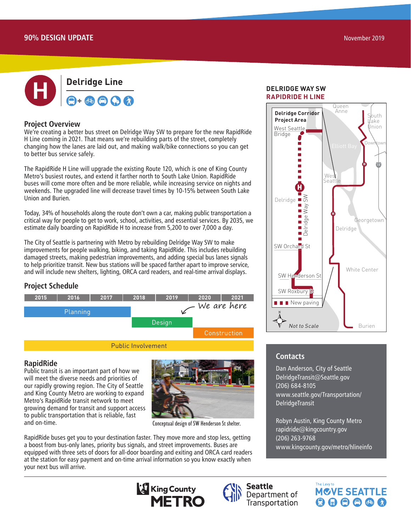

### **Project Overview**

We're creating a better bus street on Delridge Way SW to prepare for the new RapidRide H Line coming in 2021. That means we're rebuilding parts of the street, completely changing how the lanes are laid out, and making walk/bike connections so you can get to better bus service safely.

The RapidRide H Line will upgrade the existing Route 120, which is one of King County Metro's busiest routes, and extend it farther north to South Lake Union. RapidRide buses will come more often and be more reliable, while increasing service on nights and weekends. The upgraded line will decrease travel times by 10-15% between South Lake Union and Burien.

Today, 34% of households along the route don't own a car, making public transportation a critical way for people to get to work, school, activities, and essential services. By 2035, we estimate daily boarding on RapidRide H to increase from 5,200 to over 7,000 a day.

The City of Seattle is partnering with Metro by rebuilding Delridge Way SW to make improvements for people walking, biking, and taking RapidRide. This includes rebuilding damaged streets, making pedestrian improvements, and adding special bus lanes signals to help prioritize transit. New bus stations will be spaced farther apart to improve service, and will include new shelters, lighting, ORCA card readers, and real-time arrival displays.

### **Project Schedule**



### **RapidRide**

Public transit is an important part of how we will meet the diverse needs and priorities of our rapidly growing region. The City of Seattle and King County Metro are working to expand Metro's RapidRide transit network to meet growing demand for transit and support access to public transportation that is reliable, fast and on-time.



Conceptual design of SW Henderson St shelter.

RapidRide buses get you to your destination faster. They move more and stop less, getting a boost from bus-only lanes, priority bus signals, and street improvements. Buses are equipped with three sets of doors for all-door boarding and exiting and ORCA card readers at the station for easy payment and on-time arrival information so you know exactly when your next bus will arrive.

### Downtown Seattle to Delridge to Burien **RAPIDRIDE H LINE DELRIDGE WAY SW**



# **Contacts**

 $K_{\rm eff}$  Connection  $\mathcal{E}$ 

Link Light Rail Seattle Streetcar **Dan Anderson, City of Seattle Transit Connection**<br>Note to DelridgeTransit@Seattle.gov Data Sources: City of Seattle, King County (206) 684-8105 www.seattle.gov/Transportation/ DelridgeTransit

RapidRide

Robyn Austin, King County Metro rapidride@kingcountry.gov (206) 263-9768 www.kingcounty.gov/metro/hlineinfo

The Levy to

**MCVE SEATTLE** 

 $\mathbf{\Theta} \mathbf{\Theta} \mathbf{\Theta} \mathbf{\Theta} \mathbf{\Phi} \mathbf{\Omega}$